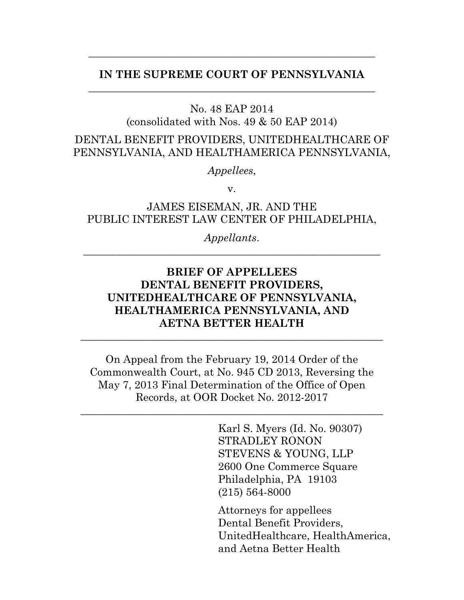### **IN THE SUPREME COURT OF PENNSYLVANIA** \_\_\_\_\_\_\_\_\_\_\_\_\_\_\_\_\_\_\_\_\_\_\_\_\_\_\_\_\_\_\_\_\_\_\_\_\_\_\_\_\_\_\_\_\_\_\_\_\_\_\_\_\_\_

\_\_\_\_\_\_\_\_\_\_\_\_\_\_\_\_\_\_\_\_\_\_\_\_\_\_\_\_\_\_\_\_\_\_\_\_\_\_\_\_\_\_\_\_\_\_\_\_\_\_\_\_\_\_

No. 48 EAP 2014

(consolidated with Nos. 49 & 50 EAP 2014)

DENTAL BENEFIT PROVIDERS, UNITEDHEALTHCARE OF PENNSYLVANIA, AND HEALTHAMERICA PENNSYLVANIA,

*Appellees*,

v.

JAMES EISEMAN, JR. AND THE PUBLIC INTEREST LAW CENTER OF PHILADELPHIA,

*Appellants*. \_\_\_\_\_\_\_\_\_\_\_\_\_\_\_\_\_\_\_\_\_\_\_\_\_\_\_\_\_\_\_\_\_\_\_\_\_\_\_\_\_\_\_\_\_\_\_\_\_\_\_\_\_\_\_\_

## **BRIEF OF APPELLEES DENTAL BENEFIT PROVIDERS, UNITEDHEALTHCARE OF PENNSYLVANIA, HEALTHAMERICA PENNSYLVANIA, AND AETNA BETTER HEALTH**

\_\_\_\_\_\_\_\_\_\_\_\_\_\_\_\_\_\_\_\_\_\_\_\_\_\_\_\_\_\_\_\_\_\_\_\_\_\_\_\_\_\_\_\_\_\_\_\_\_\_\_\_\_\_\_\_\_

On Appeal from the February 19, 2014 Order of the Commonwealth Court, at No. 945 CD 2013, Reversing the May 7, 2013 Final Determination of the Office of Open Records, at OOR Docket No. 2012-2017

\_\_\_\_\_\_\_\_\_\_\_\_\_\_\_\_\_\_\_\_\_\_\_\_\_\_\_\_\_\_\_\_\_\_\_\_\_\_\_\_\_\_\_\_\_\_\_\_\_\_\_\_\_\_\_\_\_

Karl S. Myers (Id. No. 90307) STRADLEY RONON STEVENS & YOUNG, LLP 2600 One Commerce Square Philadelphia, PA 19103 (215) 564-8000

Attorneys for appellees Dental Benefit Providers, UnitedHealthcare, HealthAmerica, and Aetna Better Health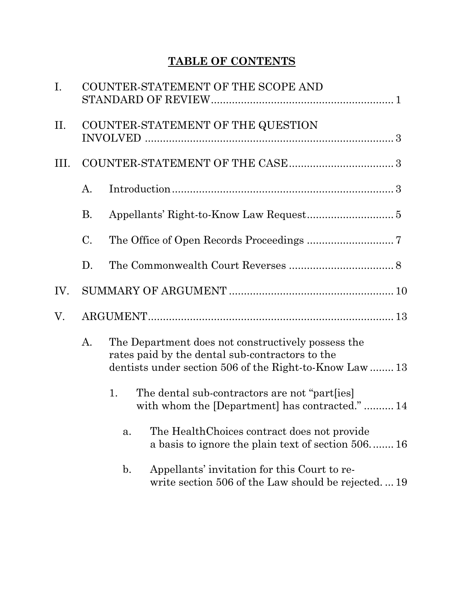# **TABLE OF CONTENTS**

| $I_{\cdot}$ |                 | COUNTER-STATEMENT OF THE SCOPE AND                                                                                                                               |                                                                                                    |  |  |  |
|-------------|-----------------|------------------------------------------------------------------------------------------------------------------------------------------------------------------|----------------------------------------------------------------------------------------------------|--|--|--|
| П.          |                 | COUNTER-STATEMENT OF THE QUESTION                                                                                                                                |                                                                                                    |  |  |  |
| Ш.          |                 |                                                                                                                                                                  |                                                                                                    |  |  |  |
|             | $A$ .           |                                                                                                                                                                  |                                                                                                    |  |  |  |
|             | <b>B.</b>       |                                                                                                                                                                  |                                                                                                    |  |  |  |
|             | $\mathcal{C}$ . |                                                                                                                                                                  |                                                                                                    |  |  |  |
|             | D.              |                                                                                                                                                                  |                                                                                                    |  |  |  |
| IV.         |                 |                                                                                                                                                                  |                                                                                                    |  |  |  |
| V.          |                 |                                                                                                                                                                  |                                                                                                    |  |  |  |
|             | A.              | The Department does not constructively possess the<br>rates paid by the dental sub-contractors to the<br>dentists under section 506 of the Right-to-Know Law  13 |                                                                                                    |  |  |  |
|             |                 | 1.                                                                                                                                                               | The dental sub-contractors are not "part[ies]<br>with whom the [Department] has contracted." 14    |  |  |  |
|             |                 | a.                                                                                                                                                               | The Health Choices contract does not provide<br>a basis to ignore the plain text of section 506 16 |  |  |  |
|             |                 | $\mathbf{b}$ .                                                                                                                                                   | Appellants' invitation for this Court to re-<br>write section 506 of the Law should be rejected19  |  |  |  |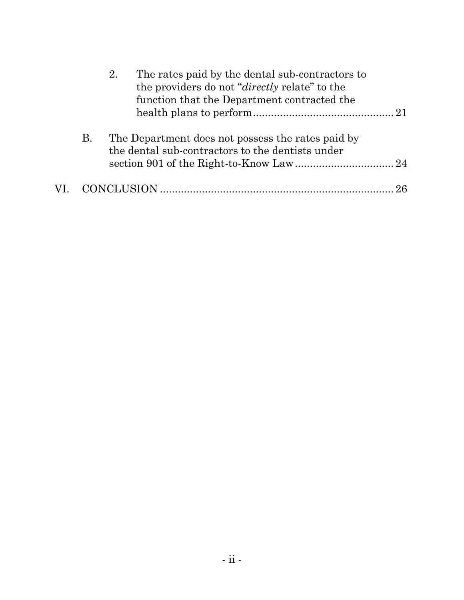|           | The rates paid by the dental sub-contractors to<br>2.<br>the providers do not " <i>directly</i> relate" to the<br>function that the Department contracted the |  |
|-----------|---------------------------------------------------------------------------------------------------------------------------------------------------------------|--|
| <b>B.</b> | The Department does not possess the rates paid by<br>the dental sub-contractors to the dentists under                                                         |  |
|           |                                                                                                                                                               |  |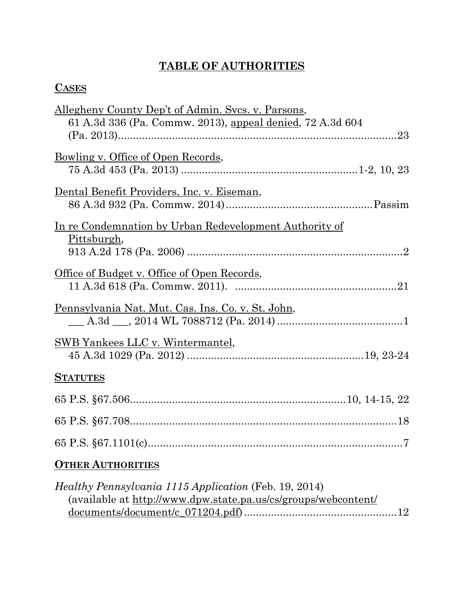# **TABLE OF AUTHORITIES**

## **CASES**

| Allegheny County Dep't of Admin. Svcs. v. Parsons,             |
|----------------------------------------------------------------|
| 61 A.3d 336 (Pa. Commw. 2013), appeal denied, 72 A.3d 604      |
|                                                                |
| Bowling v. Office of Open Records,                             |
|                                                                |
| Dental Benefit Providers, Inc. v. Eiseman,                     |
|                                                                |
| <u>In re Condemnation by Urban Redevelopment Authority of</u>  |
| <u>Pittsburgh</u> ,                                            |
|                                                                |
| <u>Office of Budget v. Office of Open Records,</u>             |
|                                                                |
| <u>Pennsylvania Nat. Mut. Cas. Ins. Co. v. St. John,</u>       |
|                                                                |
|                                                                |
| <u>SWB Yankees LLC v. Wintermantel,</u>                        |
|                                                                |
| <b>STATUTES</b>                                                |
|                                                                |
|                                                                |
| . 7                                                            |
| <b>OTHER AUTHORITIES</b>                                       |
| <i>Healthy Pennsylvania 1115 Application</i> (Feb. 19, 2014)   |
| (available at http://www.dpw.state.pa.us/cs/groups/webcontent/ |

documents/document/c\_071204.pdf)...................................................12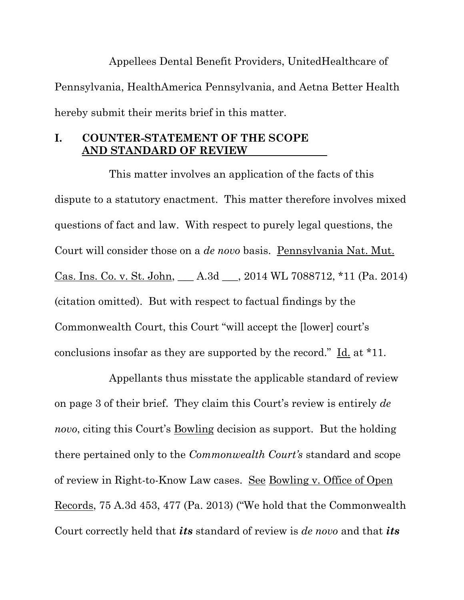Appellees Dental Benefit Providers, UnitedHealthcare of Pennsylvania, HealthAmerica Pennsylvania, and Aetna Better Health hereby submit their merits brief in this matter.

### **I. COUNTER-STATEMENT OF THE SCOPE AND STANDARD OF REVIEW**

This matter involves an application of the facts of this dispute to a statutory enactment. This matter therefore involves mixed questions of fact and law. With respect to purely legal questions, the Court will consider those on a *de novo* basis. Pennsylvania Nat. Mut. Cas. Ins. Co. v. St. John, \_\_\_ A.3d \_\_\_, 2014 WL 7088712, \*11 (Pa. 2014) (citation omitted). But with respect to factual findings by the Commonwealth Court, this Court "will accept the [lower] court's conclusions insofar as they are supported by the record." Id. at \*11.

Appellants thus misstate the applicable standard of review on page 3 of their brief. They claim this Court's review is entirely *de novo*, citing this Court's Bowling decision as support. But the holding there pertained only to the *Commonwealth Court's* standard and scope of review in Right-to-Know Law cases. See Bowling v. Office of Open Records, 75 A.3d 453, 477 (Pa. 2013) ("We hold that the Commonwealth Court correctly held that *its* standard of review is *de novo* and that *its*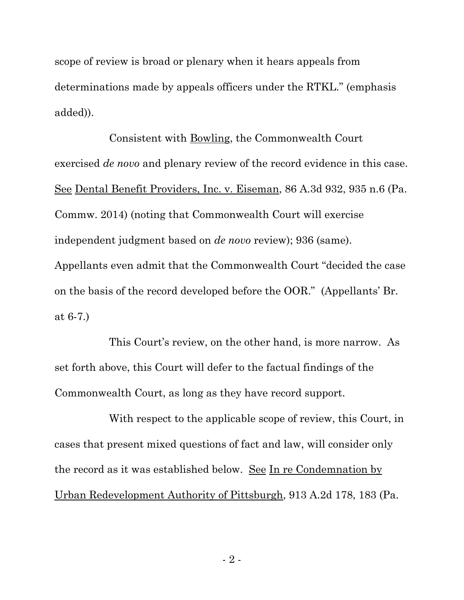scope of review is broad or plenary when it hears appeals from determinations made by appeals officers under the RTKL." (emphasis added)).

Consistent with Bowling, the Commonwealth Court exercised *de novo* and plenary review of the record evidence in this case. See Dental Benefit Providers, Inc. v. Eiseman, 86 A.3d 932, 935 n.6 (Pa. Commw. 2014) (noting that Commonwealth Court will exercise independent judgment based on *de novo* review); 936 (same). Appellants even admit that the Commonwealth Court "decided the case on the basis of the record developed before the OOR." (Appellants' Br. at 6-7.)

This Court's review, on the other hand, is more narrow. As set forth above, this Court will defer to the factual findings of the Commonwealth Court, as long as they have record support.

With respect to the applicable scope of review, this Court, in cases that present mixed questions of fact and law, will consider only the record as it was established below. See In re Condemnation by Urban Redevelopment Authority of Pittsburgh, 913 A.2d 178, 183 (Pa.

- 2 -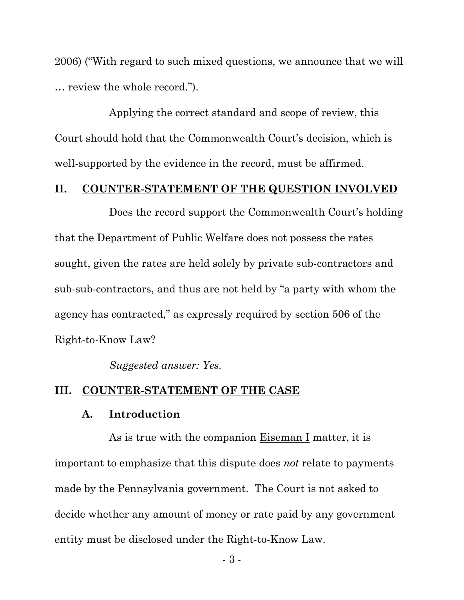2006) ("With regard to such mixed questions, we announce that we will … review the whole record.").

Applying the correct standard and scope of review, this Court should hold that the Commonwealth Court's decision, which is well-supported by the evidence in the record, must be affirmed.

### **II. COUNTER-STATEMENT OF THE QUESTION INVOLVED**

Does the record support the Commonwealth Court's holding that the Department of Public Welfare does not possess the rates sought, given the rates are held solely by private sub-contractors and sub-sub-contractors, and thus are not held by "a party with whom the agency has contracted," as expressly required by section 506 of the Right-to-Know Law?

*Suggested answer: Yes.*

#### **III. COUNTER-STATEMENT OF THE CASE**

#### **A. Introduction**

As is true with the companion Eiseman I matter, it is important to emphasize that this dispute does *not* relate to payments made by the Pennsylvania government. The Court is not asked to decide whether any amount of money or rate paid by any government entity must be disclosed under the Right-to-Know Law.

- 3 -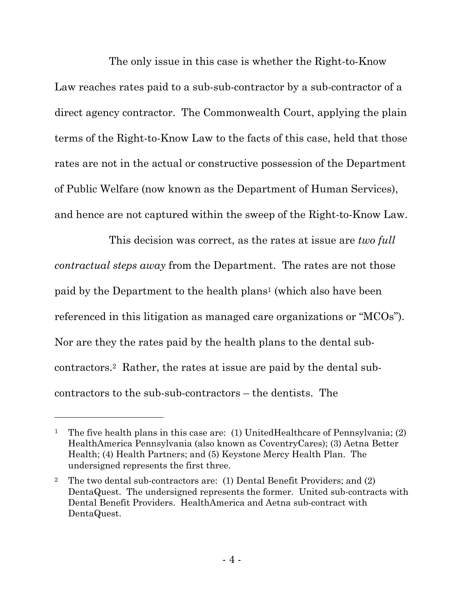The only issue in this case is whether the Right-to-Know Law reaches rates paid to a sub-sub-contractor by a sub-contractor of a direct agency contractor. The Commonwealth Court, applying the plain terms of the Right-to-Know Law to the facts of this case, held that those rates are not in the actual or constructive possession of the Department of Public Welfare (now known as the Department of Human Services), and hence are not captured within the sweep of the Right-to-Know Law.

This decision was correct, as the rates at issue are *two full contractual steps away* from the Department. The rates are not those paid by the Department to the health plans<sup>1</sup> (which also have been referenced in this litigation as managed care organizations or "MCOs"). Nor are they the rates paid by the health plans to the dental subcontractors.2 Rather, the rates at issue are paid by the dental subcontractors to the sub-sub-contractors – the dentists. The

<sup>&</sup>lt;sup>1</sup> The five health plans in this case are: (1) UnitedHealthcare of Pennsylvania; (2) HealthAmerica Pennsylvania (also known as CoventryCares); (3) Aetna Better Health; (4) Health Partners; and (5) Keystone Mercy Health Plan. The undersigned represents the first three.

<sup>2</sup> The two dental sub-contractors are: (1) Dental Benefit Providers; and (2) DentaQuest. The undersigned represents the former. United sub-contracts with Dental Benefit Providers. HealthAmerica and Aetna sub-contract with DentaQuest.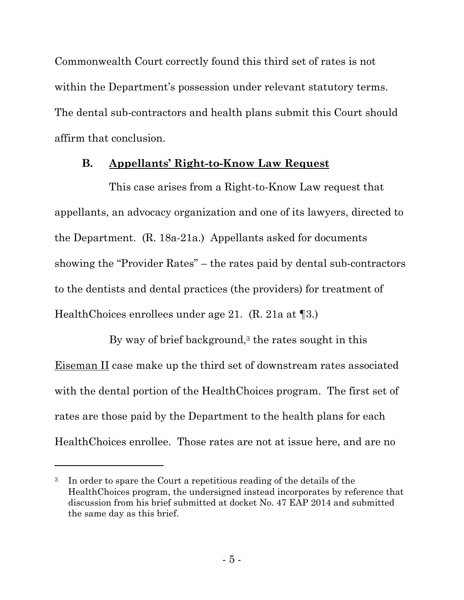Commonwealth Court correctly found this third set of rates is not within the Department's possession under relevant statutory terms. The dental sub-contractors and health plans submit this Court should affirm that conclusion.

### **B. Appellants' Right-to-Know Law Request**

This case arises from a Right-to-Know Law request that appellants, an advocacy organization and one of its lawyers, directed to the Department. (R. 18a-21a.) Appellants asked for documents showing the "Provider Rates" – the rates paid by dental sub-contractors to the dentists and dental practices (the providers) for treatment of HealthChoices enrollees under age 21. (R. 21a at ¶3.)

By way of brief background, $3$  the rates sought in this Eiseman II case make up the third set of downstream rates associated with the dental portion of the HealthChoices program. The first set of rates are those paid by the Department to the health plans for each HealthChoices enrollee. Those rates are not at issue here, and are no

<sup>3</sup> In order to spare the Court a repetitious reading of the details of the HealthChoices program, the undersigned instead incorporates by reference that discussion from his brief submitted at docket No. 47 EAP 2014 and submitted the same day as this brief.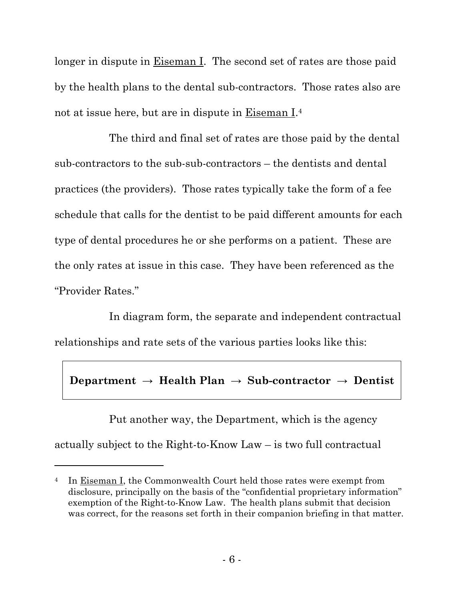longer in dispute in <u>Eiseman I</u>. The second set of rates are those paid by the health plans to the dental sub-contractors. Those rates also are not at issue here, but are in dispute in Eiseman I.<sup>4</sup>

The third and final set of rates are those paid by the dental sub-contractors to the sub-sub-contractors – the dentists and dental practices (the providers). Those rates typically take the form of a fee schedule that calls for the dentist to be paid different amounts for each type of dental procedures he or she performs on a patient. These are the only rates at issue in this case. They have been referenced as the "Provider Rates."

In diagram form, the separate and independent contractual relationships and rate sets of the various parties looks like this:

## **Department → Health Plan → Sub-contractor → Dentist**

Put another way, the Department, which is the agency actually subject to the Right-to-Know Law – is two full contractual

<sup>&</sup>lt;sup>4</sup> In Eiseman I, the Commonwealth Court held those rates were exempt from disclosure, principally on the basis of the "confidential proprietary information" exemption of the Right-to-Know Law. The health plans submit that decision was correct, for the reasons set forth in their companion briefing in that matter.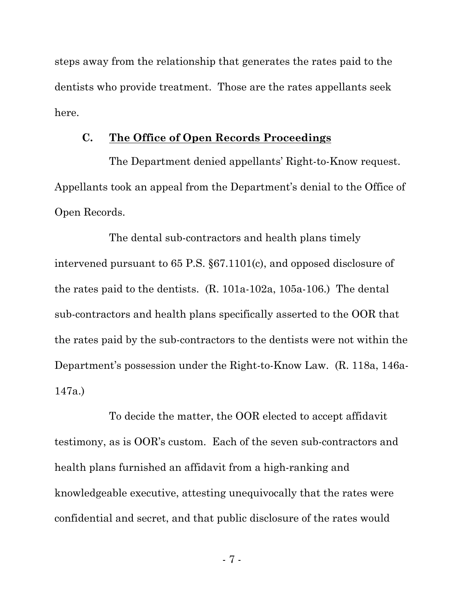steps away from the relationship that generates the rates paid to the dentists who provide treatment. Those are the rates appellants seek here.

#### **C. The Office of Open Records Proceedings**

The Department denied appellants' Right-to-Know request. Appellants took an appeal from the Department's denial to the Office of Open Records.

The dental sub-contractors and health plans timely intervened pursuant to 65 P.S. §67.1101(c), and opposed disclosure of the rates paid to the dentists. (R. 101a-102a, 105a-106.) The dental sub-contractors and health plans specifically asserted to the OOR that the rates paid by the sub-contractors to the dentists were not within the Department's possession under the Right-to-Know Law. (R. 118a, 146a-147a.)

To decide the matter, the OOR elected to accept affidavit testimony, as is OOR's custom. Each of the seven sub-contractors and health plans furnished an affidavit from a high-ranking and knowledgeable executive, attesting unequivocally that the rates were confidential and secret, and that public disclosure of the rates would

- 7 -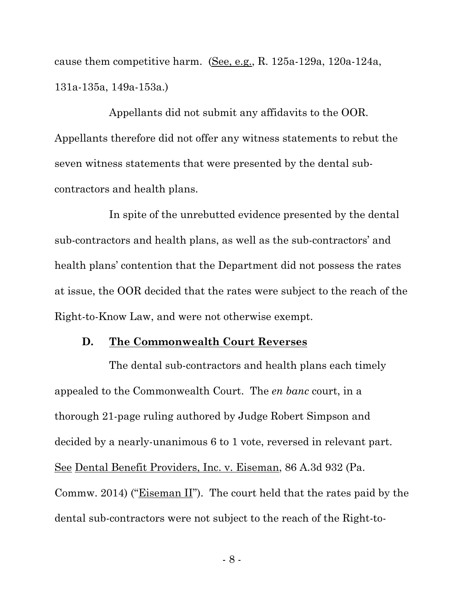cause them competitive harm. (See, e.g., R. 125a-129a, 120a-124a, 131a-135a, 149a-153a.)

Appellants did not submit any affidavits to the OOR. Appellants therefore did not offer any witness statements to rebut the seven witness statements that were presented by the dental subcontractors and health plans.

In spite of the unrebutted evidence presented by the dental sub-contractors and health plans, as well as the sub-contractors' and health plans' contention that the Department did not possess the rates at issue, the OOR decided that the rates were subject to the reach of the Right-to-Know Law, and were not otherwise exempt.

#### **D. The Commonwealth Court Reverses**

The dental sub-contractors and health plans each timely appealed to the Commonwealth Court. The *en banc* court, in a thorough 21-page ruling authored by Judge Robert Simpson and decided by a nearly-unanimous 6 to 1 vote, reversed in relevant part. See Dental Benefit Providers, Inc. v. Eiseman, 86 A.3d 932 (Pa. Commw. 2014) ("Eiseman II"). The court held that the rates paid by the dental sub-contractors were not subject to the reach of the Right-to-

- 8 -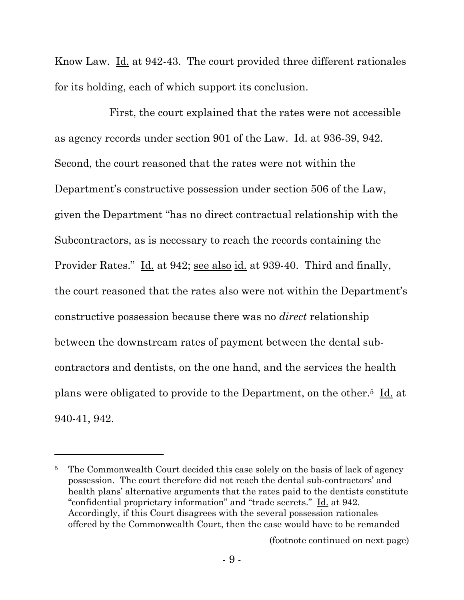Know Law. <u>Id.</u> at 942-43. The court provided three different rationales for its holding, each of which support its conclusion.

First, the court explained that the rates were not accessible as agency records under section 901 of the Law. Id. at 936-39, 942. Second, the court reasoned that the rates were not within the Department's constructive possession under section 506 of the Law, given the Department "has no direct contractual relationship with the Subcontractors, as is necessary to reach the records containing the Provider Rates." Id. at 942; see also id. at 939-40. Third and finally, the court reasoned that the rates also were not within the Department's constructive possession because there was no *direct* relationship between the downstream rates of payment between the dental subcontractors and dentists, on the one hand, and the services the health plans were obligated to provide to the Department, on the other.5 Id. at 940-41, 942.

l

(footnote continued on next page)

<sup>&</sup>lt;sup>5</sup> The Commonwealth Court decided this case solely on the basis of lack of agency possession. The court therefore did not reach the dental sub-contractors' and health plans' alternative arguments that the rates paid to the dentists constitute "confidential proprietary information" and "trade secrets." Id. at 942. Accordingly, if this Court disagrees with the several possession rationales offered by the Commonwealth Court, then the case would have to be remanded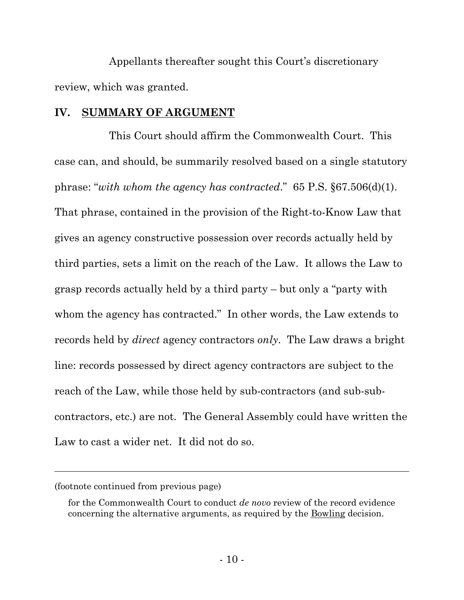Appellants thereafter sought this Court's discretionary review, which was granted.

#### **IV. SUMMARY OF ARGUMENT**

This Court should affirm the Commonwealth Court. This case can, and should, be summarily resolved based on a single statutory phrase: "*with whom the agency has contracted*." 65 P.S. §67.506(d)(1). That phrase, contained in the provision of the Right-to-Know Law that gives an agency constructive possession over records actually held by third parties, sets a limit on the reach of the Law. It allows the Law to grasp records actually held by a third party – but only a "party with whom the agency has contracted." In other words, the Law extends to records held by *direct* agency contractors *only*. The Law draws a bright line: records possessed by direct agency contractors are subject to the reach of the Law, while those held by sub-contractors (and sub-subcontractors, etc.) are not. The General Assembly could have written the Law to cast a wider net. It did not do so.

<sup>(</sup>footnote continued from previous page)

for the Commonwealth Court to conduct *de novo* review of the record evidence concerning the alternative arguments, as required by the Bowling decision.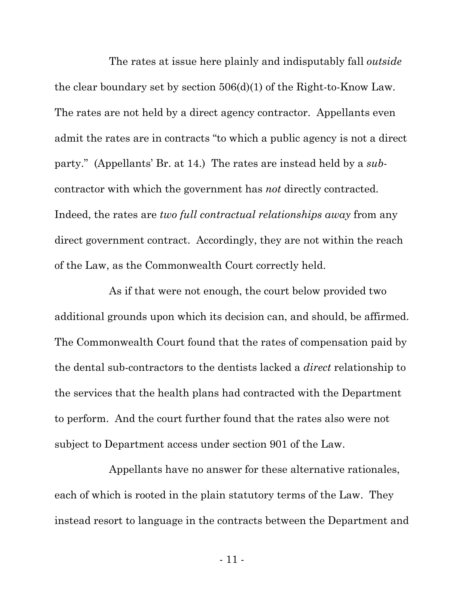The rates at issue here plainly and indisputably fall *outside* the clear boundary set by section 506(d)(1) of the Right-to-Know Law. The rates are not held by a direct agency contractor. Appellants even admit the rates are in contracts "to which a public agency is not a direct party." (Appellants' Br. at 14.) The rates are instead held by a *sub*contractor with which the government has *not* directly contracted. Indeed, the rates are *two full contractual relationships away* from any direct government contract. Accordingly, they are not within the reach of the Law, as the Commonwealth Court correctly held.

As if that were not enough, the court below provided two additional grounds upon which its decision can, and should, be affirmed. The Commonwealth Court found that the rates of compensation paid by the dental sub-contractors to the dentists lacked a *direct* relationship to the services that the health plans had contracted with the Department to perform. And the court further found that the rates also were not subject to Department access under section 901 of the Law.

Appellants have no answer for these alternative rationales, each of which is rooted in the plain statutory terms of the Law. They instead resort to language in the contracts between the Department and

- 11 -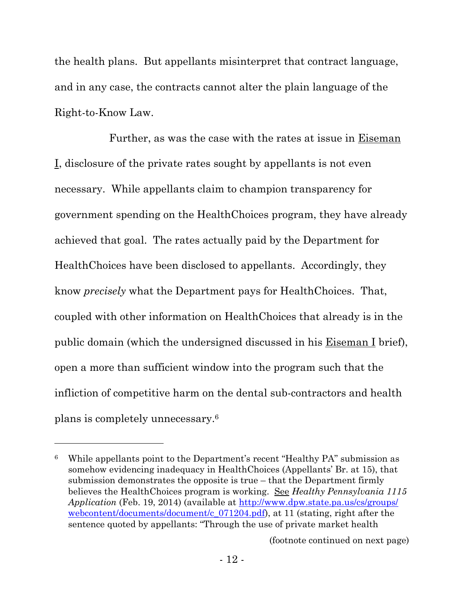the health plans. But appellants misinterpret that contract language, and in any case, the contracts cannot alter the plain language of the Right-to-Know Law.

Further, as was the case with the rates at issue in Eiseman I, disclosure of the private rates sought by appellants is not even necessary. While appellants claim to champion transparency for government spending on the HealthChoices program, they have already achieved that goal. The rates actually paid by the Department for HealthChoices have been disclosed to appellants. Accordingly, they know *precisely* what the Department pays for HealthChoices. That, coupled with other information on HealthChoices that already is in the public domain (which the undersigned discussed in his Eiseman I brief), open a more than sufficient window into the program such that the infliction of competitive harm on the dental sub-contractors and health plans is completely unnecessary.<sup>6</sup>

 $\overline{a}$ 

(footnote continued on next page)

<sup>6</sup> While appellants point to the Department's recent "Healthy PA" submission as somehow evidencing inadequacy in HealthChoices (Appellants' Br. at 15), that submission demonstrates the opposite is true – that the Department firmly believes the HealthChoices program is working. See *Healthy Pennsylvania 1115 Application* (Feb. 19, 2014) (available at http://www.dpw.state.pa.us/cs/groups/ webcontent/documents/document/c\_071204.pdf), at 11 (stating, right after the sentence quoted by appellants: "Through the use of private market health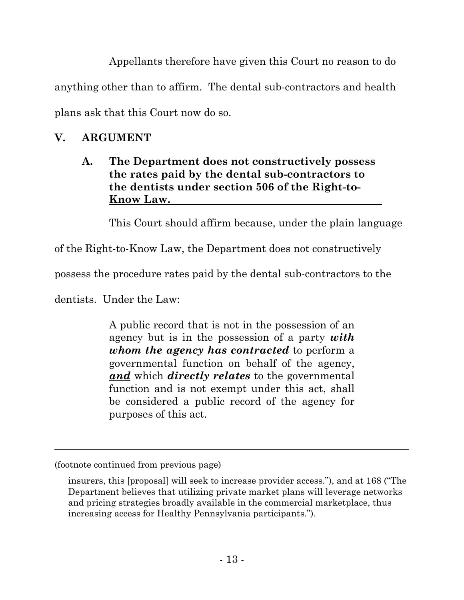Appellants therefore have given this Court no reason to do

anything other than to affirm. The dental sub-contractors and health

plans ask that this Court now do so.

# **V. ARGUMENT**

## **A. The Department does not constructively possess the rates paid by the dental sub-contractors to the dentists under section 506 of the Right-to-Know Law.**

This Court should affirm because, under the plain language

of the Right-to-Know Law, the Department does not constructively

possess the procedure rates paid by the dental sub-contractors to the

dentists. Under the Law:

A public record that is not in the possession of an agency but is in the possession of a party *with whom the agency has contracted* to perform a governmental function on behalf of the agency, *and* which *directly relates* to the governmental function and is not exempt under this act, shall be considered a public record of the agency for purposes of this act.

<sup>(</sup>footnote continued from previous page)

insurers, this [proposal] will seek to increase provider access."), and at 168 ("The Department believes that utilizing private market plans will leverage networks and pricing strategies broadly available in the commercial marketplace, thus increasing access for Healthy Pennsylvania participants.").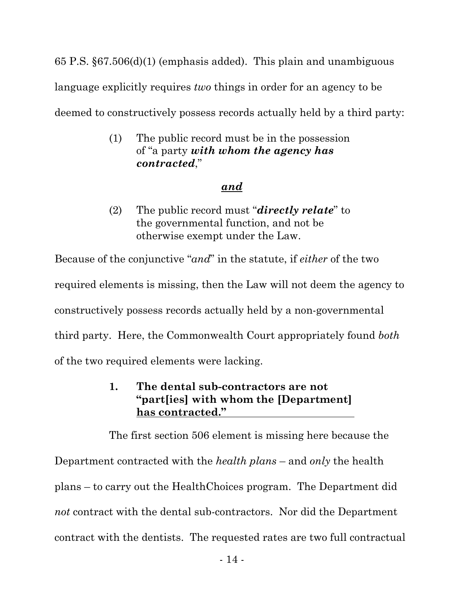65 P.S. §67.506(d)(1) (emphasis added). This plain and unambiguous language explicitly requires *two* things in order for an agency to be deemed to constructively possess records actually held by a third party:

> (1) The public record must be in the possession of "a party *with whom the agency has contracted*,"

## *and*

(2) The public record must "*directly relate*" to the governmental function, and not be otherwise exempt under the Law.

Because of the conjunctive "*and*" in the statute, if *either* of the two required elements is missing, then the Law will not deem the agency to constructively possess records actually held by a non-governmental third party. Here, the Commonwealth Court appropriately found *both* of the two required elements were lacking.

## **1. The dental sub-contractors are not "part[ies] with whom the [Department] has contracted."**

The first section 506 element is missing here because the Department contracted with the *health plans* – and *only* the health plans – to carry out the HealthChoices program. The Department did *not* contract with the dental sub-contractors. Nor did the Department contract with the dentists. The requested rates are two full contractual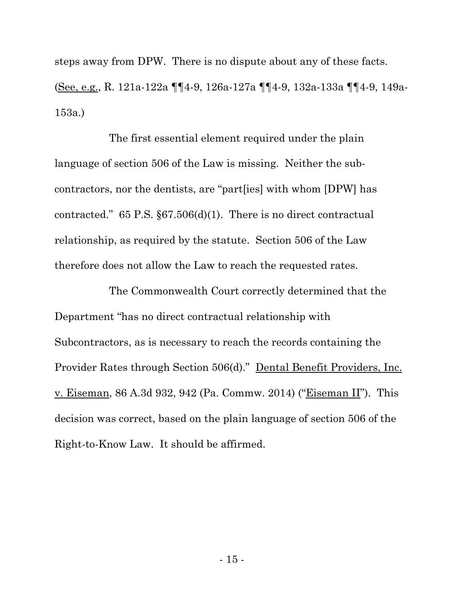steps away from DPW. There is no dispute about any of these facts. (See, e.g., R. 121a-122a ¶¶4-9, 126a-127a ¶¶4-9, 132a-133a ¶¶4-9, 149a-153a.)

The first essential element required under the plain language of section 506 of the Law is missing. Neither the subcontractors, nor the dentists, are "part[ies] with whom [DPW] has contracted." 65 P.S. §67.506(d)(1). There is no direct contractual relationship, as required by the statute. Section 506 of the Law therefore does not allow the Law to reach the requested rates.

The Commonwealth Court correctly determined that the Department "has no direct contractual relationship with Subcontractors, as is necessary to reach the records containing the Provider Rates through Section 506(d)." Dental Benefit Providers, Inc. v. Eiseman, 86 A.3d 932, 942 (Pa. Commw. 2014) ("Eiseman II"). This decision was correct, based on the plain language of section 506 of the Right-to-Know Law. It should be affirmed.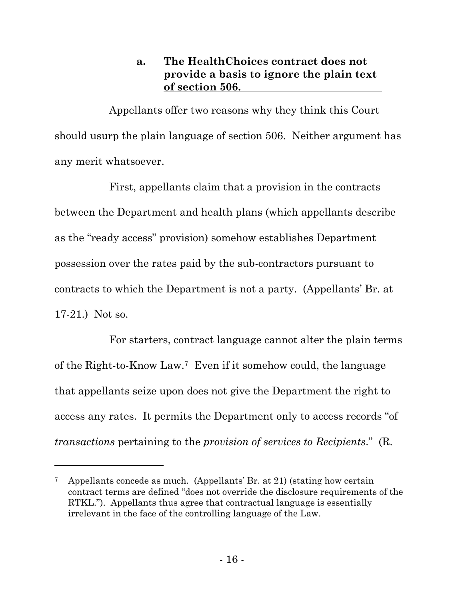## **a. The HealthChoices contract does not provide a basis to ignore the plain text of section 506.**

Appellants offer two reasons why they think this Court should usurp the plain language of section 506. Neither argument has any merit whatsoever.

First, appellants claim that a provision in the contracts between the Department and health plans (which appellants describe as the "ready access" provision) somehow establishes Department possession over the rates paid by the sub-contractors pursuant to contracts to which the Department is not a party. (Appellants' Br. at 17-21.) Not so.

For starters, contract language cannot alter the plain terms of the Right-to-Know Law.7 Even if it somehow could, the language that appellants seize upon does not give the Department the right to access any rates. It permits the Department only to access records "of *transactions* pertaining to the *provision of services to Recipients*." (R.

Appellants concede as much. (Appellants' Br. at 21) (stating how certain contract terms are defined "does not override the disclosure requirements of the RTKL."). Appellants thus agree that contractual language is essentially irrelevant in the face of the controlling language of the Law.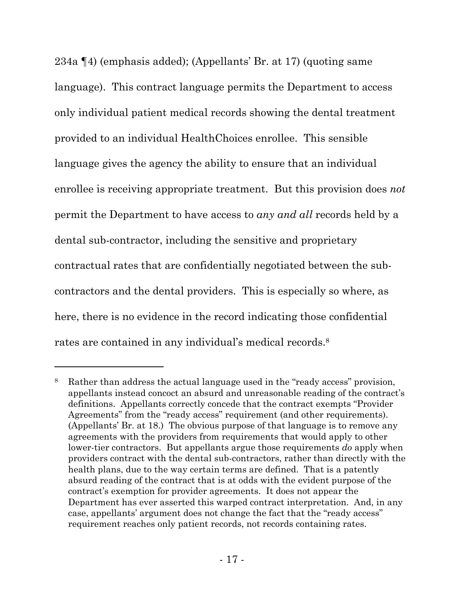234a ¶4) (emphasis added); (Appellants' Br. at 17) (quoting same language). This contract language permits the Department to access only individual patient medical records showing the dental treatment provided to an individual HealthChoices enrollee. This sensible language gives the agency the ability to ensure that an individual enrollee is receiving appropriate treatment. But this provision does *not* permit the Department to have access to *any and all* records held by a dental sub-contractor, including the sensitive and proprietary contractual rates that are confidentially negotiated between the subcontractors and the dental providers. This is especially so where, as here, there is no evidence in the record indicating those confidential rates are contained in any individual's medical records.<sup>8</sup>

<sup>8</sup> Rather than address the actual language used in the "ready access" provision, appellants instead concoct an absurd and unreasonable reading of the contract's definitions. Appellants correctly concede that the contract exempts "Provider Agreements" from the "ready access" requirement (and other requirements). (Appellants' Br. at 18.) The obvious purpose of that language is to remove any agreements with the providers from requirements that would apply to other lower-tier contractors. But appellants argue those requirements *do* apply when providers contract with the dental sub-contractors, rather than directly with the health plans, due to the way certain terms are defined. That is a patently absurd reading of the contract that is at odds with the evident purpose of the contract's exemption for provider agreements. It does not appear the Department has ever asserted this warped contract interpretation. And, in any case, appellants' argument does not change the fact that the "ready access" requirement reaches only patient records, not records containing rates.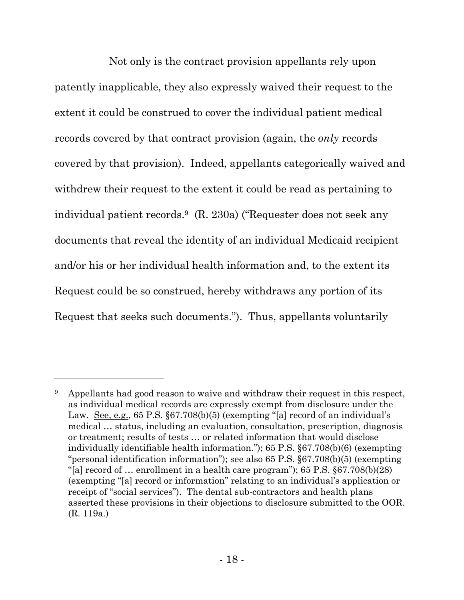Not only is the contract provision appellants rely upon patently inapplicable, they also expressly waived their request to the extent it could be construed to cover the individual patient medical records covered by that contract provision (again, the *only* records covered by that provision). Indeed, appellants categorically waived and withdrew their request to the extent it could be read as pertaining to individual patient records.9 (R. 230a) ("Requester does not seek any documents that reveal the identity of an individual Medicaid recipient and/or his or her individual health information and, to the extent its Request could be so construed, hereby withdraws any portion of its Request that seeks such documents."). Thus, appellants voluntarily

<sup>&</sup>lt;sup>9</sup> Appellants had good reason to waive and withdraw their request in this respect, as individual medical records are expressly exempt from disclosure under the Law. See, e.g., 65 P.S. §67.708(b)(5) (exempting "[a] record of an individual's medical … status, including an evaluation, consultation, prescription, diagnosis or treatment; results of tests … or related information that would disclose individually identifiable health information."); 65 P.S. §67.708(b)(6) (exempting "personal identification information"); see also 65 P.S. §67.708(b)(5) (exempting "[a] record of  $\ldots$  enrollment in a health care program"); 65 P.S. §67.708(b)(28) (exempting "[a] record or information" relating to an individual's application or receipt of "social services"). The dental sub-contractors and health plans asserted these provisions in their objections to disclosure submitted to the OOR. (R. 119a.)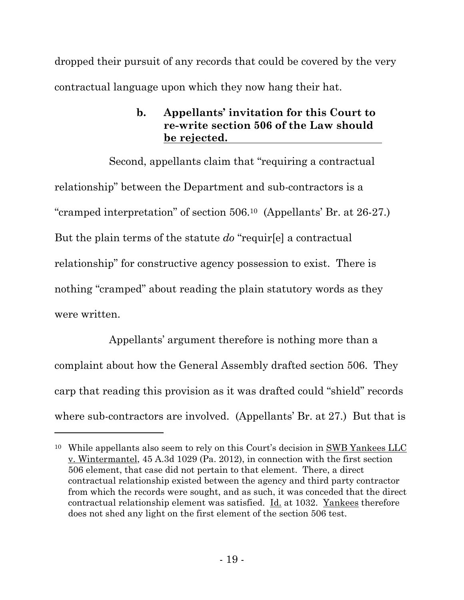dropped their pursuit of any records that could be covered by the very contractual language upon which they now hang their hat.

## **b. Appellants' invitation for this Court to re-write section 506 of the Law should be rejected.**

Second, appellants claim that "requiring a contractual relationship" between the Department and sub-contractors is a "cramped interpretation" of section 506.10 (Appellants' Br. at 26-27.) But the plain terms of the statute *do* "requir[e] a contractual relationship" for constructive agency possession to exist. There is nothing "cramped" about reading the plain statutory words as they were written.

Appellants' argument therefore is nothing more than a complaint about how the General Assembly drafted section 506. They carp that reading this provision as it was drafted could "shield" records where sub-contractors are involved. (Appellants' Br. at 27.) But that is

<sup>10</sup> While appellants also seem to rely on this Court's decision in SWB Yankees LLC v. Wintermantel, 45 A.3d 1029 (Pa. 2012), in connection with the first section 506 element, that case did not pertain to that element. There, a direct contractual relationship existed between the agency and third party contractor from which the records were sought, and as such, it was conceded that the direct contractual relationship element was satisfied. Id. at 1032. Yankees therefore does not shed any light on the first element of the section 506 test.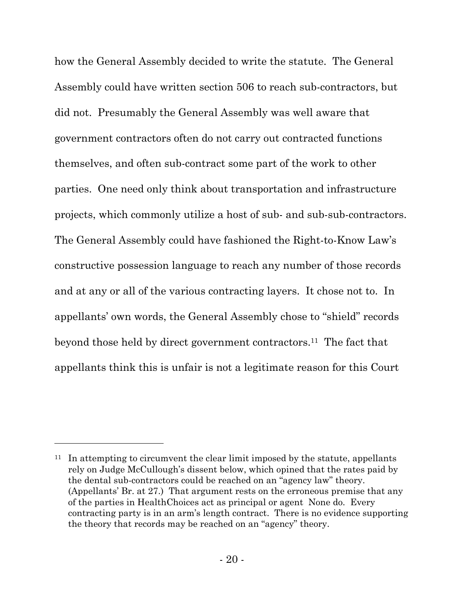how the General Assembly decided to write the statute. The General Assembly could have written section 506 to reach sub-contractors, but did not. Presumably the General Assembly was well aware that government contractors often do not carry out contracted functions themselves, and often sub-contract some part of the work to other parties. One need only think about transportation and infrastructure projects, which commonly utilize a host of sub- and sub-sub-contractors. The General Assembly could have fashioned the Right-to-Know Law's constructive possession language to reach any number of those records and at any or all of the various contracting layers. It chose not to. In appellants' own words, the General Assembly chose to "shield" records beyond those held by direct government contractors.<sup>11</sup> The fact that appellants think this is unfair is not a legitimate reason for this Court

 $11$  In attempting to circumvent the clear limit imposed by the statute, appellants rely on Judge McCullough's dissent below, which opined that the rates paid by the dental sub-contractors could be reached on an "agency law" theory. (Appellants' Br. at 27.) That argument rests on the erroneous premise that any of the parties in HealthChoices act as principal or agent None do. Every contracting party is in an arm's length contract. There is no evidence supporting the theory that records may be reached on an "agency" theory.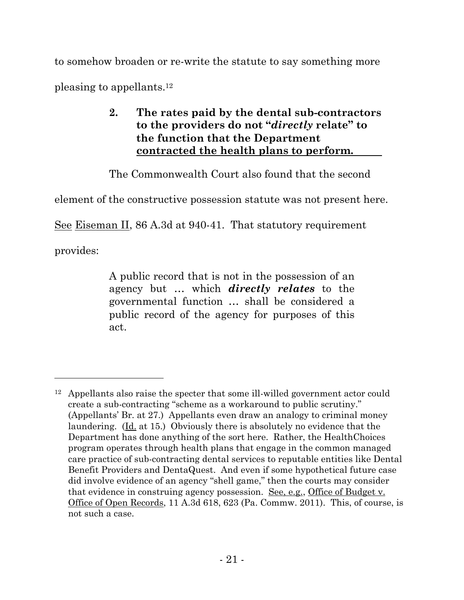to somehow broaden or re-write the statute to say something more

pleasing to appellants.<sup>12</sup>

## **2. The rates paid by the dental sub-contractors to the providers do not "***directly* **relate" to the function that the Department contracted the health plans to perform.**

The Commonwealth Court also found that the second

element of the constructive possession statute was not present here.

See Eiseman II, 86 A.3d at 940-41. That statutory requirement

provides:

l

A public record that is not in the possession of an agency but … which *directly relates* to the governmental function … shall be considered a public record of the agency for purposes of this act.

<sup>12</sup> Appellants also raise the specter that some ill-willed government actor could create a sub-contracting "scheme as a workaround to public scrutiny." (Appellants' Br. at 27.) Appellants even draw an analogy to criminal money laundering. (Id. at 15.) Obviously there is absolutely no evidence that the Department has done anything of the sort here. Rather, the HealthChoices program operates through health plans that engage in the common managed care practice of sub-contracting dental services to reputable entities like Dental Benefit Providers and DentaQuest. And even if some hypothetical future case did involve evidence of an agency "shell game," then the courts may consider that evidence in construing agency possession. See, e.g., Office of Budget v. Office of Open Records, 11 A.3d 618, 623 (Pa. Commw. 2011). This, of course, is not such a case.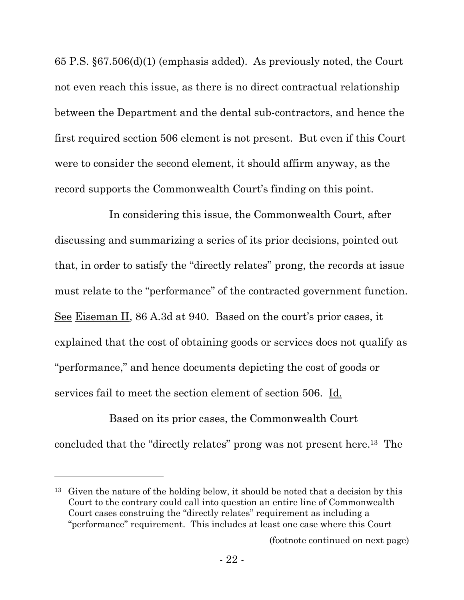65 P.S. §67.506(d)(1) (emphasis added). As previously noted, the Court not even reach this issue, as there is no direct contractual relationship between the Department and the dental sub-contractors, and hence the first required section 506 element is not present. But even if this Court were to consider the second element, it should affirm anyway, as the record supports the Commonwealth Court's finding on this point.

In considering this issue, the Commonwealth Court, after discussing and summarizing a series of its prior decisions, pointed out that, in order to satisfy the "directly relates" prong, the records at issue must relate to the "performance" of the contracted government function. See Eiseman II, 86 A.3d at 940. Based on the court's prior cases, it explained that the cost of obtaining goods or services does not qualify as "performance," and hence documents depicting the cost of goods or services fail to meet the section element of section 506. Id.

Based on its prior cases, the Commonwealth Court concluded that the "directly relates" prong was not present here.13 The

<sup>13</sup> Given the nature of the holding below, it should be noted that a decision by this Court to the contrary could call into question an entire line of Commonwealth Court cases construing the "directly relates" requirement as including a "performance" requirement. This includes at least one case where this Court

l

(footnote continued on next page)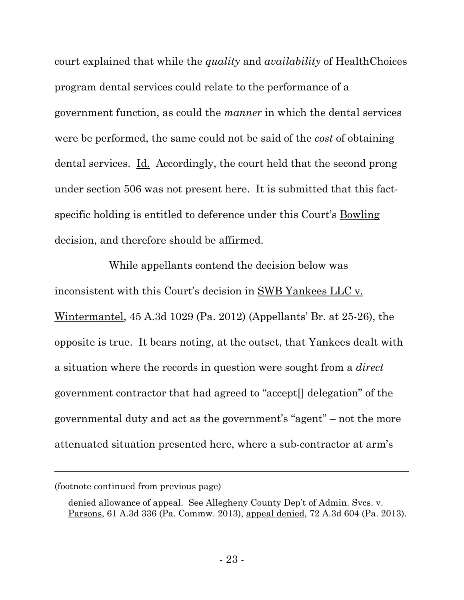court explained that while the *quality* and *availability* of HealthChoices program dental services could relate to the performance of a government function, as could the *manner* in which the dental services were be performed, the same could not be said of the *cost* of obtaining dental services. Id. Accordingly, the court held that the second prong under section 506 was not present here. It is submitted that this factspecific holding is entitled to deference under this Court's Bowling decision, and therefore should be affirmed.

While appellants contend the decision below was inconsistent with this Court's decision in SWB Yankees LLC v. Wintermantel, 45 A.3d 1029 (Pa. 2012) (Appellants' Br. at 25-26), the opposite is true. It bears noting, at the outset, that Yankees dealt with a situation where the records in question were sought from a *direct* government contractor that had agreed to "accept[] delegation" of the governmental duty and act as the government's "agent" – not the more attenuated situation presented here, where a sub-contractor at arm's

<sup>(</sup>footnote continued from previous page)

denied allowance of appeal. See Allegheny County Dep't of Admin. Svcs. v. Parsons, 61 A.3d 336 (Pa. Commw. 2013), appeal denied, 72 A.3d 604 (Pa. 2013).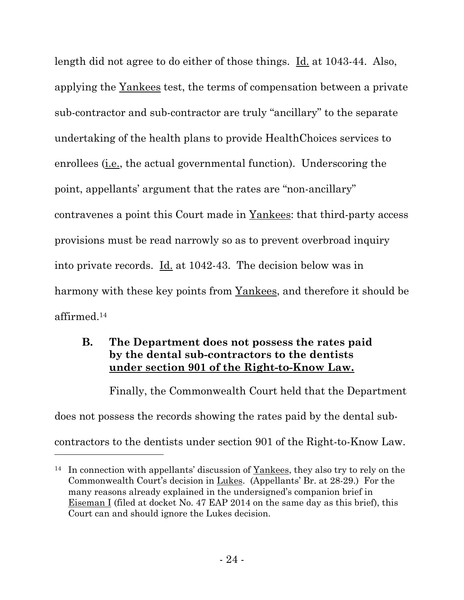length did not agree to do either of those things. Id. at 1043-44. Also, applying the Yankees test, the terms of compensation between a private sub-contractor and sub-contractor are truly "ancillary" to the separate undertaking of the health plans to provide HealthChoices services to enrollees (i.e., the actual governmental function). Underscoring the point, appellants' argument that the rates are "non-ancillary" contravenes a point this Court made in Yankees: that third-party access provisions must be read narrowly so as to prevent overbroad inquiry into private records. Id. at 1042-43. The decision below was in harmony with these key points from Yankees, and therefore it should be affirmed.<sup>14</sup>

## **B. The Department does not possess the rates paid by the dental sub-contractors to the dentists under section 901 of the Right-to-Know Law.**

Finally, the Commonwealth Court held that the Department does not possess the records showing the rates paid by the dental subcontractors to the dentists under section 901 of the Right-to-Know Law.

<sup>14</sup> In connection with appellants' discussion of Yankees, they also try to rely on the Commonwealth Court's decision in Lukes. (Appellants' Br. at 28-29.) For the many reasons already explained in the undersigned's companion brief in Eiseman I (filed at docket No. 47 EAP 2014 on the same day as this brief), this Court can and should ignore the Lukes decision.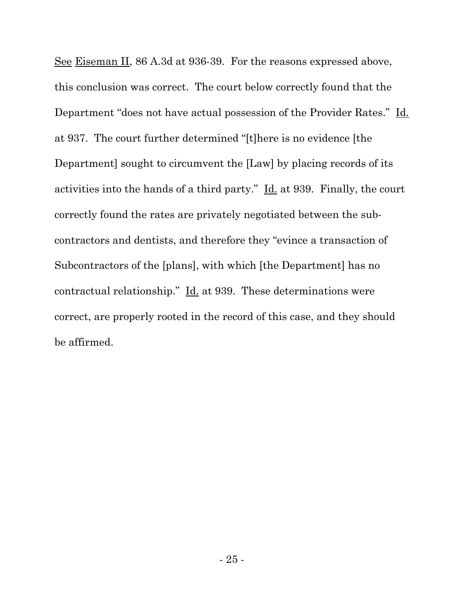See Eiseman II, 86 A.3d at 936-39. For the reasons expressed above, this conclusion was correct. The court below correctly found that the Department "does not have actual possession of the Provider Rates." Id. at 937. The court further determined "[t]here is no evidence [the Department] sought to circumvent the [Law] by placing records of its activities into the hands of a third party." Id. at 939. Finally, the court correctly found the rates are privately negotiated between the subcontractors and dentists, and therefore they "evince a transaction of Subcontractors of the [plans], with which [the Department] has no contractual relationship." Id. at 939. These determinations were correct, are properly rooted in the record of this case, and they should be affirmed.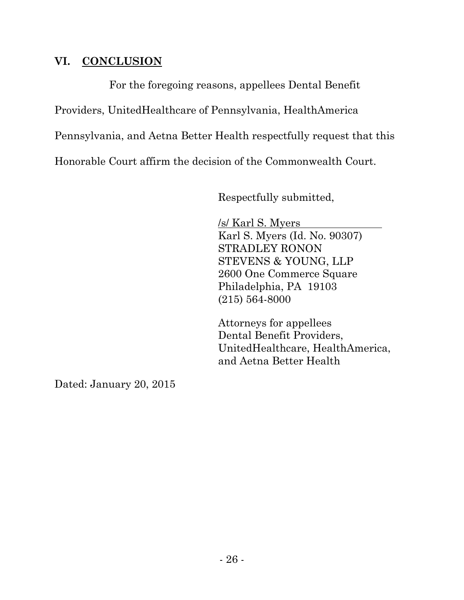## **VI. CONCLUSION**

For the foregoing reasons, appellees Dental Benefit Providers, UnitedHealthcare of Pennsylvania, HealthAmerica Pennsylvania, and Aetna Better Health respectfully request that this Honorable Court affirm the decision of the Commonwealth Court.

Respectfully submitted,

/s/ Karl S. Myers Karl S. Myers (Id. No. 90307) STRADLEY RONON STEVENS & YOUNG, LLP 2600 One Commerce Square Philadelphia, PA 19103 (215) 564-8000

Attorneys for appellees Dental Benefit Providers, UnitedHealthcare, HealthAmerica, and Aetna Better Health

Dated: January 20, 2015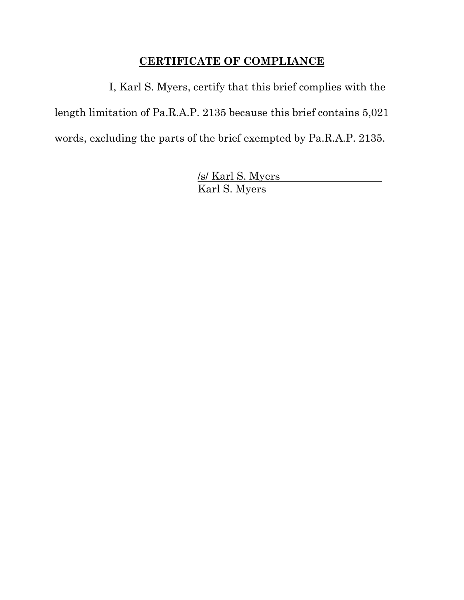# **CERTIFICATE OF COMPLIANCE**

I, Karl S. Myers, certify that this brief complies with the length limitation of Pa.R.A.P. 2135 because this brief contains 5,021 words, excluding the parts of the brief exempted by Pa.R.A.P. 2135.

> /s/ Karl S. Myers Karl S. Myers